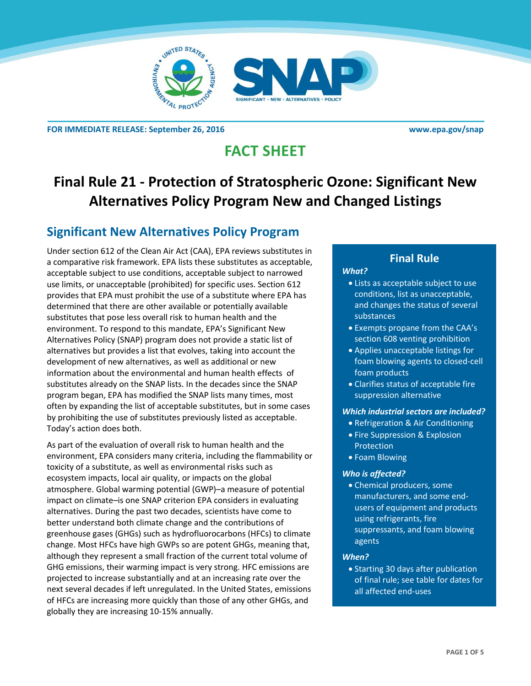



**FOR IMMEDIATE RELEASE: September 26, 2016 [www.epa.gov/snap](http://www.epa.gov/snap)** 

# **FACT SHEET**

# **Final Rule 21 - Protection of Stratospheric Ozone: Significant New Alternatives Policy Program New and Changed Listings**

### **Significant New Alternatives Policy Program**

Under section 612 of the Clean Air Act (CAA), EPA reviews substitutes in a comparative risk framework. EPA lists these substitutes as acceptable, acceptable subject to use conditions, acceptable subject to narrowed use limits, or unacceptable (prohibited) for specific uses. Section 612 provides that EPA must prohibit the use of a substitute where EPA has determined that there are other available or potentially available substitutes that pose less overall risk to human health and the environment. To respond to this mandate, EPA's Significant New Alternatives Policy (SNAP) program does not provide a static list of alternatives but provides a list that evolves, taking into account the development of new alternatives, as well as additional or new information about the environmental and human health effects of substitutes already on the SNAP lists. In the decades since the SNAP program began, EPA has modified the SNAP lists many times, most often by expanding the list of acceptable substitutes, but in some cases by prohibiting the use of substitutes previously listed as acceptable. Today's action does both.

As part of the evaluation of overall risk to human health and the environment, EPA considers many criteria, including the flammability or toxicity of a substitute, as well as environmental risks such as ecosystem impacts, local air quality, or impacts on the global atmosphere. Global warming potential (GWP)–a measure of potential impact on climate–is one SNAP criterion EPA considers in evaluating alternatives. During the past two decades, scientists have come to better understand both climate change and the contributions of greenhouse gases (GHGs) such as hydrofluorocarbons (HFCs) to climate change. Most HFCs have high GWPs so are potent GHGs, meaning that, although they represent a small fraction of the current total volume of GHG emissions, their warming impact is very strong. HFC emissions are projected to increase substantially and at an increasing rate over the next several decades if left unregulated. In the United States, emissions of HFCs are increasing more quickly than those of any other GHGs, and globally they are increasing 10-15% annually.

### **Final Rule**

### *What?*

- Lists as acceptable subject to use conditions, list as unacceptable, and changes the status of several substances
- Exempts propane from the CAA's section 608 venting prohibition
- Applies unacceptable listings for foam blowing agents to closed-cell foam products
- Clarifies status of acceptable fire suppression alternative

#### *Which industrial sectors are included?*

- Refrigeration & Air Conditioning
- **Fire Suppression & Explosion** Protection
- Foam Blowing

#### *Who is affected?*

 Chemical producers, some manufacturers, and some endusers of equipment and products using refrigerants, fire suppressants, and foam blowing agents

#### *When?*

• Starting 30 days after publication of final rule; see table for dates for all affected end-uses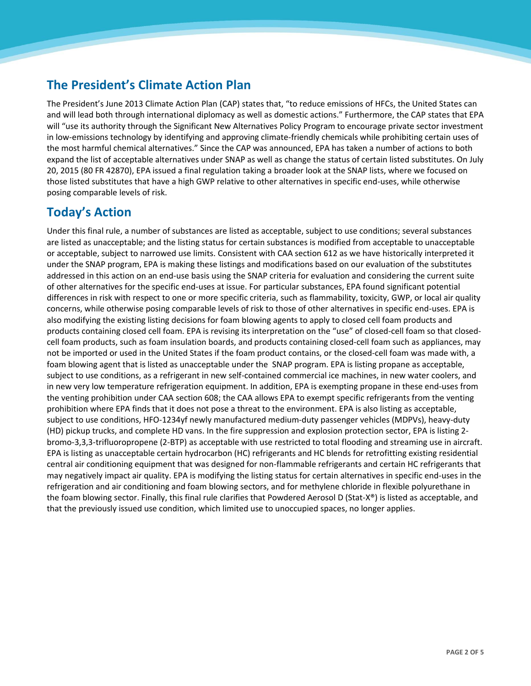## **The President's Climate Action Plan**

The President's June 2013 Climate Action Plan (CAP) states that, "to reduce emissions of HFCs, the United States can and will lead both through international diplomacy as well as domestic actions." Furthermore, the CAP states that EPA will "use its authority through the Significant New Alternatives Policy Program to encourage private sector investment in low-emissions technology by identifying and approving climate-friendly chemicals while prohibiting certain uses of the most harmful chemical alternatives." Since the CAP was announced, EPA has taken a number of actions to both expand the list of acceptable alternatives under SNAP as well as change the status of certain listed substitutes. On July 20, 2015 (80 FR 42870), EPA issued a final regulation taking a broader look at the SNAP lists, where we focused on those listed substitutes that have a high GWP relative to other alternatives in specific end-uses, while otherwise posing comparable levels of risk.

### **Today's Action**

Under this final rule, a number of substances are listed as acceptable, subject to use conditions; several substances are listed as unacceptable; and the listing status for certain substances is modified from acceptable to unacceptable or acceptable, subject to narrowed use limits. Consistent with CAA section 612 as we have historically interpreted it under the SNAP program, EPA is making these listings and modifications based on our evaluation of the substitutes addressed in this action on an end-use basis using the SNAP criteria for evaluation and considering the current suite of other alternatives for the specific end-uses at issue. For particular substances, EPA found significant potential differences in risk with respect to one or more specific criteria, such as flammability, toxicity, GWP, or local air quality concerns, while otherwise posing comparable levels of risk to those of other alternatives in specific end-uses. EPA is also modifying the existing listing decisions for foam blowing agents to apply to closed cell foam products and products containing closed cell foam. EPA is revising its interpretation on the "use" of closed-cell foam so that closedcell foam products, such as foam insulation boards, and products containing closed-cell foam such as appliances, may not be imported or used in the United States if the foam product contains, or the closed-cell foam was made with, a foam blowing agent that is listed as unacceptable under the SNAP program. EPA is listing propane as acceptable, subject to use conditions, as a refrigerant in new self-contained commercial ice machines, in new water coolers, and in new very low temperature refrigeration equipment. In addition, EPA is exempting propane in these end-uses from the venting prohibition under CAA section 608; the CAA allows EPA to exempt specific refrigerants from the venting prohibition where EPA finds that it does not pose a threat to the environment. EPA is also listing as acceptable, subject to use conditions, HFO-1234yf newly manufactured medium-duty passenger vehicles (MDPVs), heavy-duty (HD) pickup trucks, and complete HD vans. In the fire suppression and explosion protection sector, EPA is listing 2 bromo-3,3,3-trifluoropropene (2-BTP) as acceptable with use restricted to total flooding and streaming use in aircraft. EPA is listing as unacceptable certain hydrocarbon (HC) refrigerants and HC blends for retrofitting existing residential central air conditioning equipment that was designed for non-flammable refrigerants and certain HC refrigerants that may negatively impact air quality. EPA is modifying the listing status for certain alternatives in specific end-uses in the refrigeration and air conditioning and foam blowing sectors, and for methylene chloride in flexible polyurethane in the foam blowing sector. Finally, this final rule clarifies that Powdered Aerosol D (Stat-X®) is listed as acceptable, and that the previously issued use condition, which limited use to unoccupied spaces, no longer applies.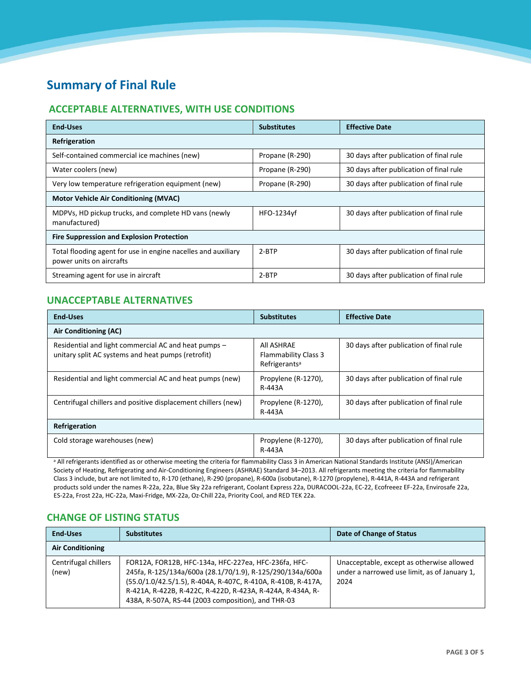## **Summary of Final Rule**

### **ACCEPTABLE ALTERNATIVES, WITH USE CONDITIONS**

| <b>End-Uses</b>                                                                           | <b>Substitutes</b> | <b>Effective Date</b>                   |  |
|-------------------------------------------------------------------------------------------|--------------------|-----------------------------------------|--|
| Refrigeration                                                                             |                    |                                         |  |
| Self-contained commercial ice machines (new)                                              | Propane (R-290)    | 30 days after publication of final rule |  |
| Water coolers (new)                                                                       | Propane (R-290)    | 30 days after publication of final rule |  |
| Very low temperature refrigeration equipment (new)                                        | Propane (R-290)    | 30 days after publication of final rule |  |
| <b>Motor Vehicle Air Conditioning (MVAC)</b>                                              |                    |                                         |  |
| MDPVs, HD pickup trucks, and complete HD vans (newly<br>manufactured)                     | HFO-1234yf         | 30 days after publication of final rule |  |
| <b>Fire Suppression and Explosion Protection</b>                                          |                    |                                         |  |
| Total flooding agent for use in engine nacelles and auxiliary<br>power units on aircrafts | $2-BTP$            | 30 days after publication of final rule |  |
| Streaming agent for use in aircraft                                                       | $2-BTP$            | 30 days after publication of final rule |  |

### **UNACCEPTABLE ALTERNATIVES**

| <b>End-Uses</b>                                                                                            | <b>Substitutes</b>                                                     | <b>Effective Date</b>                   |  |
|------------------------------------------------------------------------------------------------------------|------------------------------------------------------------------------|-----------------------------------------|--|
| Air Conditioning (AC)                                                                                      |                                                                        |                                         |  |
| Residential and light commercial AC and heat pumps –<br>unitary split AC systems and heat pumps (retrofit) | All ASHRAE<br><b>Flammability Class 3</b><br>Refrigerants <sup>a</sup> | 30 days after publication of final rule |  |
| Residential and light commercial AC and heat pumps (new)                                                   | Propylene (R-1270),<br>R-443A                                          | 30 days after publication of final rule |  |
| Centrifugal chillers and positive displacement chillers (new)                                              | Propylene (R-1270),<br>R-443A                                          | 30 days after publication of final rule |  |
| Refrigeration                                                                                              |                                                                        |                                         |  |
| Cold storage warehouses (new)                                                                              | Propylene (R-1270),<br>R-443A                                          | 30 days after publication of final rule |  |

a All refrigerants identified as or otherwise meeting the criteria for flammability Class 3 in American National Standards Institute (ANSI)/American Society of Heating, Refrigerating and Air-Conditioning Engineers (ASHRAE) Standard 34–2013. All refrigerants meeting the criteria for flammability Class 3 include, but are not limited to, R-170 (ethane), R-290 (propane), R-600a (isobutane), R-1270 (propylene), R-441A, R-443A and refrigerant products sold under the names R-22a, 22a, Blue Sky 22a refrigerant, Coolant Express 22a, DURACOOL-22a, EC-22, Ecofreeez EF-22a, Envirosafe 22a, ES-22a, Frost 22a, HC-22a, Maxi-Fridge, MX-22a, Oz-Chill 22a, Priority Cool, and RED TEK 22a.

### **CHANGE OF LISTING STATUS**

| <b>End-Uses</b>               | <b>Substitutes</b>                                                                                                                                                                                                                                                                                    | Date of Change of Status                                                                          |
|-------------------------------|-------------------------------------------------------------------------------------------------------------------------------------------------------------------------------------------------------------------------------------------------------------------------------------------------------|---------------------------------------------------------------------------------------------------|
| <b>Air Conditioning</b>       |                                                                                                                                                                                                                                                                                                       |                                                                                                   |
| Centrifugal chillers<br>(new) | FOR12A, FOR12B, HFC-134a, HFC-227ea, HFC-236fa, HFC-<br>245fa, R-125/134a/600a (28.1/70/1.9), R-125/290/134a/600a<br>(55.0/1.0/42.5/1.5), R-404A, R-407C, R-410A, R-410B, R-417A,<br>R-421A, R-422B, R-422C, R-422D, R-423A, R-424A, R-434A, R-<br>438A, R-507A, RS-44 (2003 composition), and THR-03 | Unacceptable, except as otherwise allowed<br>under a narrowed use limit, as of January 1,<br>2024 |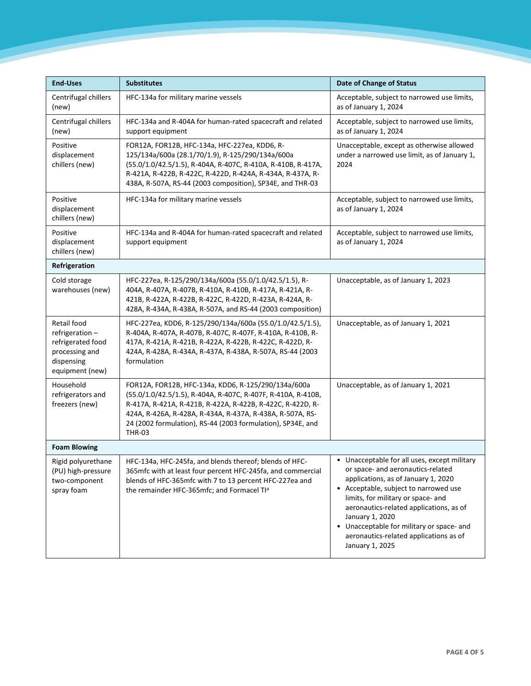| <b>End-Uses</b>                                                                                       | <b>Substitutes</b>                                                                                                                                                                                                                                                                                                             | <b>Date of Change of Status</b>                                                                                                                                                                                                                                                                                                                                                            |
|-------------------------------------------------------------------------------------------------------|--------------------------------------------------------------------------------------------------------------------------------------------------------------------------------------------------------------------------------------------------------------------------------------------------------------------------------|--------------------------------------------------------------------------------------------------------------------------------------------------------------------------------------------------------------------------------------------------------------------------------------------------------------------------------------------------------------------------------------------|
| Centrifugal chillers<br>(new)                                                                         | HFC-134a for military marine vessels                                                                                                                                                                                                                                                                                           | Acceptable, subject to narrowed use limits,<br>as of January 1, 2024                                                                                                                                                                                                                                                                                                                       |
| Centrifugal chillers<br>(new)                                                                         | HFC-134a and R-404A for human-rated spacecraft and related<br>support equipment                                                                                                                                                                                                                                                | Acceptable, subject to narrowed use limits,<br>as of January 1, 2024                                                                                                                                                                                                                                                                                                                       |
| Positive<br>displacement<br>chillers (new)                                                            | FOR12A, FOR12B, HFC-134a, HFC-227ea, KDD6, R-<br>125/134a/600a (28.1/70/1.9), R-125/290/134a/600a<br>(55.0/1.0/42.5/1.5), R-404A, R-407C, R-410A, R-410B, R-417A,<br>R-421A, R-422B, R-422C, R-422D, R-424A, R-434A, R-437A, R-<br>438A, R-507A, RS-44 (2003 composition), SP34E, and THR-03                                   | Unacceptable, except as otherwise allowed<br>under a narrowed use limit, as of January 1,<br>2024                                                                                                                                                                                                                                                                                          |
| Positive<br>displacement<br>chillers (new)                                                            | HFC-134a for military marine vessels                                                                                                                                                                                                                                                                                           | Acceptable, subject to narrowed use limits,<br>as of January 1, 2024                                                                                                                                                                                                                                                                                                                       |
| Positive<br>displacement<br>chillers (new)                                                            | HFC-134a and R-404A for human-rated spacecraft and related<br>support equipment                                                                                                                                                                                                                                                | Acceptable, subject to narrowed use limits,<br>as of January 1, 2024                                                                                                                                                                                                                                                                                                                       |
| Refrigeration                                                                                         |                                                                                                                                                                                                                                                                                                                                |                                                                                                                                                                                                                                                                                                                                                                                            |
| Cold storage<br>warehouses (new)                                                                      | HFC-227ea, R-125/290/134a/600a (55.0/1.0/42.5/1.5), R-<br>404A, R-407A, R-407B, R-410A, R-410B, R-417A, R-421A, R-<br>421B, R-422A, R-422B, R-422C, R-422D, R-423A, R-424A, R-<br>428A, R-434A, R-438A, R-507A, and RS-44 (2003 composition)                                                                                   | Unacceptable, as of January 1, 2023                                                                                                                                                                                                                                                                                                                                                        |
| Retail food<br>refrigeration-<br>refrigerated food<br>processing and<br>dispensing<br>equipment (new) | HFC-227ea, KDD6, R-125/290/134a/600a (55.0/1.0/42.5/1.5),<br>R-404A, R-407A, R-407B, R-407C, R-407F, R-410A, R-410B, R-<br>417A, R-421A, R-421B, R-422A, R-422B, R-422C, R-422D, R-<br>424A, R-428A, R-434A, R-437A, R-438A, R-507A, RS-44 (2003<br>formulation                                                                | Unacceptable, as of January 1, 2021                                                                                                                                                                                                                                                                                                                                                        |
| Household<br>refrigerators and<br>freezers (new)                                                      | FOR12A, FOR12B, HFC-134a, KDD6, R-125/290/134a/600a<br>(55.0/1.0/42.5/1.5), R-404A, R-407C, R-407F, R-410A, R-410B,<br>R-417A, R-421A, R-421B, R-422A, R-422B, R-422C, R-422D, R-<br>424A, R-426A, R-428A, R-434A, R-437A, R-438A, R-507A, RS-<br>24 (2002 formulation), RS-44 (2003 formulation), SP34E, and<br><b>THR-03</b> | Unacceptable, as of January 1, 2021                                                                                                                                                                                                                                                                                                                                                        |
| <b>Foam Blowing</b>                                                                                   |                                                                                                                                                                                                                                                                                                                                |                                                                                                                                                                                                                                                                                                                                                                                            |
| Rigid polyurethane<br>(PU) high-pressure<br>two-component<br>spray foam                               | HFC-134a, HFC-245fa, and blends thereof; blends of HFC-<br>365mfc with at least four percent HFC-245fa, and commercial<br>blends of HFC-365mfc with 7 to 13 percent HFC-227ea and<br>the remainder HFC-365mfc; and Formacel TI <sup>a</sup>                                                                                    | Unacceptable for all uses, except military<br>$\bullet$<br>or space- and aeronautics-related<br>applications, as of January 1, 2020<br>• Acceptable, subject to narrowed use<br>limits, for military or space- and<br>aeronautics-related applications, as of<br>January 1, 2020<br>• Unacceptable for military or space- and<br>aeronautics-related applications as of<br>January 1, 2025 |